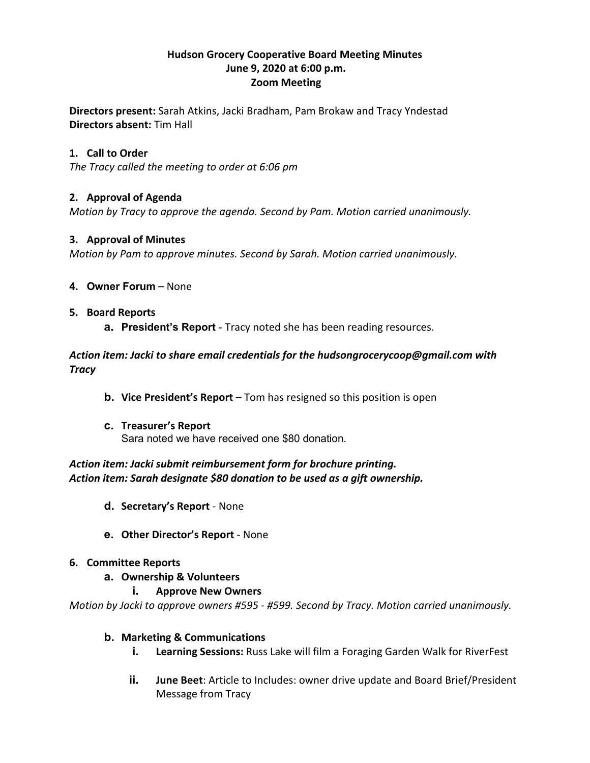## **Hudson Grocery Cooperative Board Meeting Minutes June 9, 2020 at 6:00 p.m. Zoom Meeting**

**Directors present:** Sarah Atkins, Jacki Bradham, Pam Brokaw and Tracy Yndestad **Directors absent:** Tim Hall

# **1. Call to Order**

*The Tracy called the meeting to order at 6:06 pm*

# **2. Approval of Agenda**

*Motion by Tracy to approve the agenda. Second by Pam. Motion carried unanimously.*

## **3. Approval of Minutes**

*Motion by Pam to approve minutes. Second by Sarah. Motion carried unanimously.*

**4. Owner Forum** – None

# **5. Board Reports**

**a. President's Report** - Tracy noted she has been reading resources.

*Action item: Jacki to share email credentials for the hudsongrocerycoop@gmail.com with Tracy*

- **b. Vice President's Report** Tom has resigned so this position is open
- **c. Treasurer's Report** Sara noted we have received one \$80 donation.

# *Action item: Jacki submit reimbursement form for brochure printing. Action item: Sarah designate \$80 donation to be used as a gift ownership.*

- **d. Secretary's Report** None
- **e. Other Director's Report** None

## **6. Committee Reports**

- **a. Ownership & Volunteers** 
	- **i. Approve New Owners**

*Motion by Jacki to approve owners #595 - #599. Second by Tracy. Motion carried unanimously.*

## **b. Marketing & Communications**

- **i. Learning Sessions:** Russ Lake will film a Foraging Garden Walk for RiverFest
- **ii. June Beet**: Article to Includes: owner drive update and Board Brief/President Message from Tracy